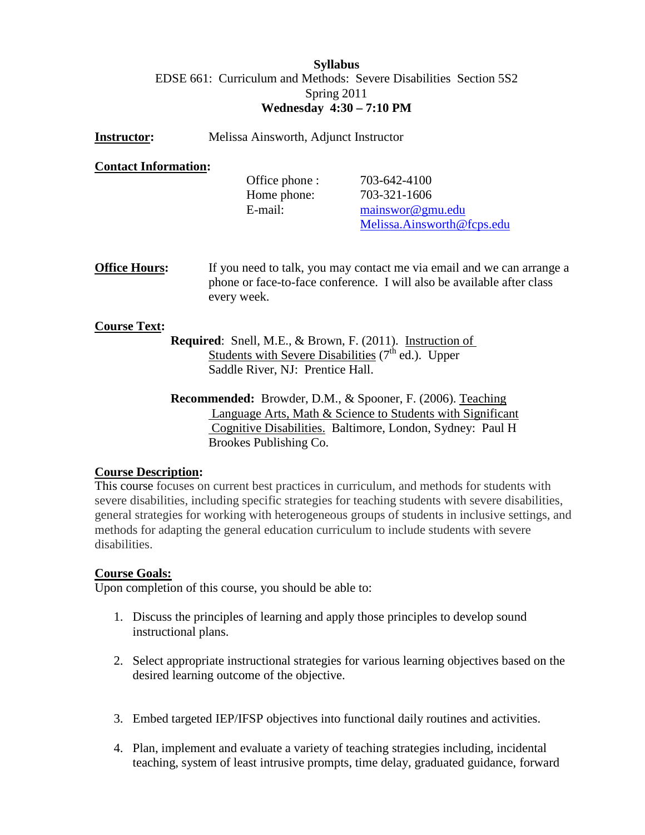## **Syllabus** EDSE 661: Curriculum and Methods: Severe Disabilities Section 5S2 Spring 2011 **Wednesday 4:30 – 7:10 PM**

| Melissa Ainsworth, Adjunct Instructor<br><b>Instructor:</b> |
|-------------------------------------------------------------|
|-------------------------------------------------------------|

# **Contact Information :**

| Office phone : | 703-642-4100               |
|----------------|----------------------------|
| Home phone:    | 703-321-1606               |
| E-mail:        | mainswor@gmu.edu           |
|                | Melissa.Ainsworth@fcps.edu |

**Office Hours:** If you need to talk, you may contact me via email and we can arrange a phone or face-to-face conference. I will also be available after class every week.

#### **Course Text :**

- **Required**: Snell, M.E., & Brown, F. (2011). Instruction of Students with Severe Disabilities  $(7<sup>th</sup>$  ed.). Upper Saddle River, NJ: Prentice Hall.
- **Recommended:** Browder, D.M., & Spooner, F. (2006). Teaching Language Arts, Math & Science to Students with Significant Cognitive Disabilities. Baltimore, London, Sydney: Paul H Brookes Publishing Co.

#### **Course Description :**

This course focuses on current best practices in curriculum, and methods for students with severe disabilities, including specific strategies for teaching students with severe disabilities, general strategies for working with heterogeneous groups of students in inclusive settings, and methods for adapting the general education curriculum to include students with severe disabilities.

#### **Course Goals:**

Upon completion of this course, you should be able to:

- 1. Discuss the principles of learning and apply those principles to develop sound instructional plans.
- 2. Select appropriate instructional strategies for various learning objectives based on the desired learning outcome of the objective.
- 3. Embed targeted IEP/IFSP objectives into functional daily routines and activities.
- 4. Plan, implement and evaluate a variety of teaching strategies including, incidental teaching, system of least intrusive prompts, time delay, graduated guidance, forward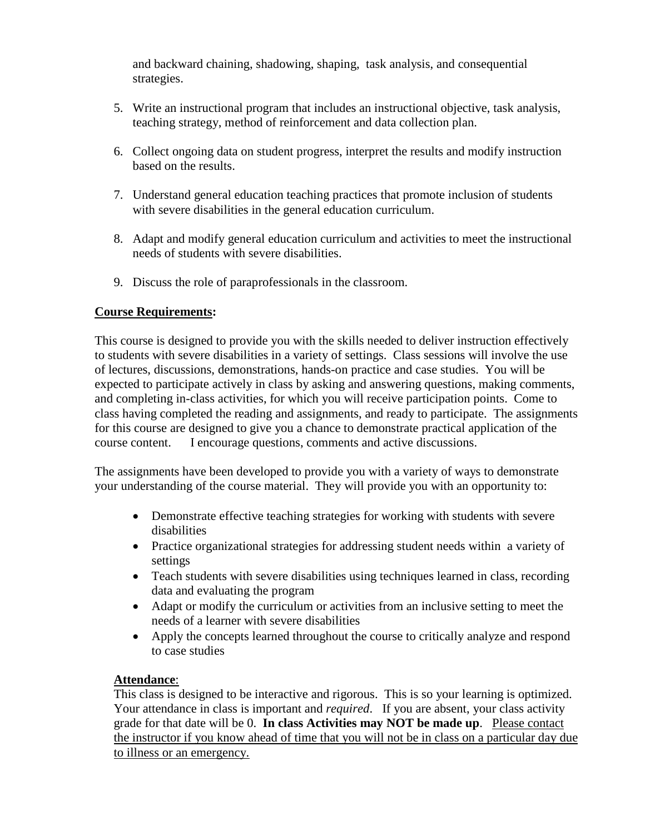and backward chaining, shadowing, shaping, task analysis, and consequential strategies.

- 5. Write an instructional program that includes an instructional objective, task analysis, teaching strategy, method of reinforcement and data collection plan.
- 6. Collect ongoing data on student progress, interpret the results and modify instruction based on the results.
- 7. Understand general education teaching practices that promote inclusion of students with severe disabilities in the general education curriculum.
- 8. Adapt and modify general education curriculum and activities to meet the instructional needs of students with severe disabilities.
- 9. Discuss the role of paraprofessionals in the classroom.

# **Course Requirements:**

This course is designed to provide you with the skills needed to deliver instruction effectively to students with severe disabilities in a variety of settings. Class sessions will involve the use of lectures, discussions, demonstrations, hands-on practice and case studies. You will be expected to participate actively in class by asking and answering questions, making comments, and completing in-class activities, for which you will receive participation points. Come to class having completed the reading and assignments, and ready to participate. The assignments for this course are designed to give you a chance to demonstrate practical application of the course content. I encourage questions, comments and active discussions.

The assignments have been developed to provide you with a variety of ways to demonstrate your understanding of the course material. They will provide you with an opportunity to:

- Demonstrate effective teaching strategies for working with students with severe disabilities
- Practice organizational strategies for addressing student needs within a variety of settings
- Teach students with severe disabilities using techniques learned in class, recording data and evaluating the program
- Adapt or modify the curriculum or activities from an inclusive setting to meet the needs of a learner with severe disabilities
- Apply the concepts learned throughout the course to critically analyze and respond to case studies

# **Attendance**:

This class is designed to be interactive and rigorous. This is so your learning is optimized. Your attendance in class is important and *required*. If you are absent, your class activity grade for that date will be 0. **In class Activities may NOT be made up**. Please contact the instructor if you know ahead of time that you will not be in class on a particular day due to illness or an emergency.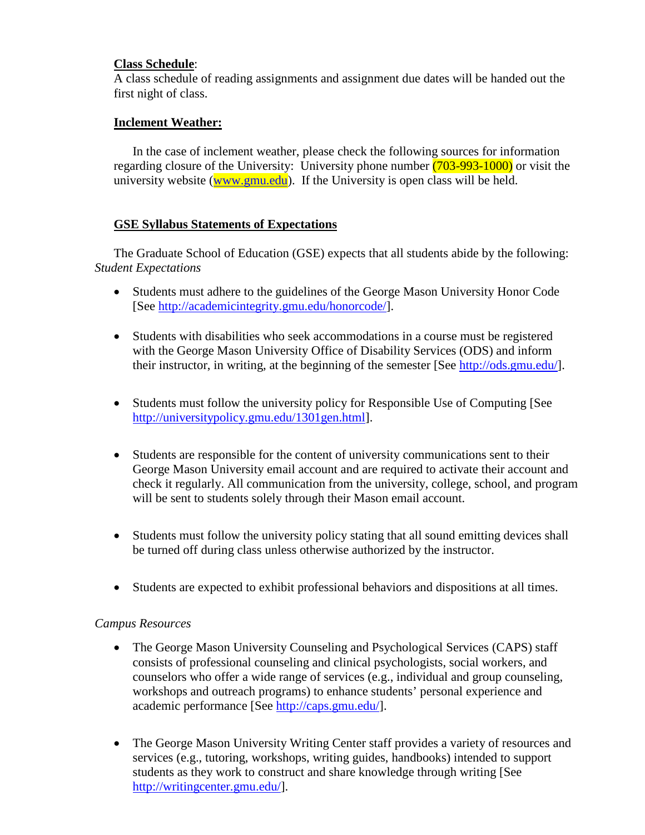# **Class Schedule** :

A class schedule of reading assignments and assignment due dates will be handed out the first night of class.

## **Inclement Weather:**

In the case of inclement weather, please check the following sources for information regarding closure of the University: University phone number (703-993-1000) or visit the university website [\(www.gmu.edu\)](http://www.gmu.edu/). If the University is open class will be held.

### **GSE Syllabus Statements of Expectations**

The Graduate School of Education (GSE) expects that all students abide by the following: *Student Expectations*

- Students must adhere to the guidelines of the George Mason University Honor Code [See [http://academicintegrity.gmu.edu/honorcode/\]](http://academicintegrity.gmu.edu/honorcode/).
- Students with disabilities who seek accommodations in a course must be registered with the George Mason University Office of Disability Services (ODS) and inform their instructor, in writing, at the beginning of the semester [See [http://ods.gmu.edu/\]](http://ods.gmu.edu/).
- Students must follow the university policy for Responsible Use of Computing [See [http://universitypolicy.gmu.edu/1301gen.html\]](http://universitypolicy.gmu.edu/1301gen.html).
- Students are responsible for the content of university communications sent to their George Mason University email account and are required to activate their account and check it regularly. All communication from the university, college, school, and program will be sent to students solely through their Mason email account.
- Students must follow the university policy stating that all sound emitting devices shall be turned off during class unless otherwise authorized by the instructor.
- Students are expected to exhibit professional behaviors and dispositions at all times.

#### *Campus Resources*

- The George Mason University Counseling and Psychological Services (CAPS) staff consists of professional counseling and clinical psychologists, social workers, and counselors who offer a wide range of services (e.g., individual and group counseling, workshops and outreach programs) to enhance students' personal experience and academic performance [See [http://caps.gmu.edu/\]](http://caps.gmu.edu/).
- The George Mason University Writing Center staff provides a variety of resources and services (e.g., tutoring, workshops, writing guides, handbooks) intended to support students as they work to construct and share knowledge through writing [See [http://writingcenter.gmu.edu/\]](http://writingcenter.gmu.edu/).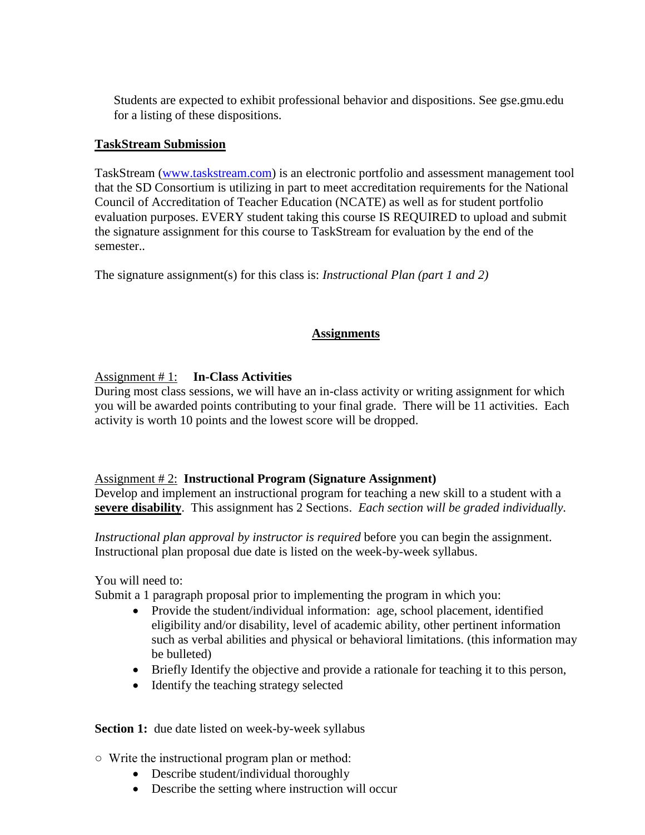Students are expected to exhibit professional behavior and dispositions. See gse.gmu.edu for a listing of these dispositions.

### **TaskStream Submission**

TaskStream [\(www.taskstream.com\)](http://www.taskstream.com/) is an electronic portfolio and assessment management tool that the SD Consortium is utilizing in part to meet accreditation requirements for the National Council of Accreditation of Teacher Education (NCATE) as well as for student portfolio evaluation purposes. EVERY student taking this course IS REQUIRED to upload and submit the signature assignment for this course to TaskStream for evaluation by the end of the semester..

The signature assignment(s) for this class is: *Instructional Plan (part 1 and 2)*

# **Assignments**

## Assignment # 1: **In-Class Activities**

During most class sessions, we will have an in-class activity or writing assignment for which you will be awarded points contributing to your final grade. There will be 11 activities. Each activity is worth 10 points and the lowest score will be dropped.

### Assignment # 2: **Instructional Program (Signature Assignment)**

Develop and implement an instructional program for teaching a new skill to a student with a **severe disability**. This assignment has 2 Sections. *Each section will be graded individually*.

*Instructional plan approval by instructor is required* before you can begin the assignment. Instructional plan proposal due date is listed on the week-by-week syllabus.

You will need to:

Submit a 1 paragraph proposal prior to implementing the program in which you:

- Provide the student/individual information: age, school placement, identified eligibility and/or disability, level of academic ability, other pertinent information such as verbal abilities and physical or behavioral limitations. (this information may be bulleted)
- Briefly Identify the objective and provide a rationale for teaching it to this person,
- Identify the teaching strategy selected

#### **Section 1:** due date listed on week-by-week syllabus

○ Write the instructional program plan or method:

- Describe student/individual thoroughly
- Describe the setting where instruction will occur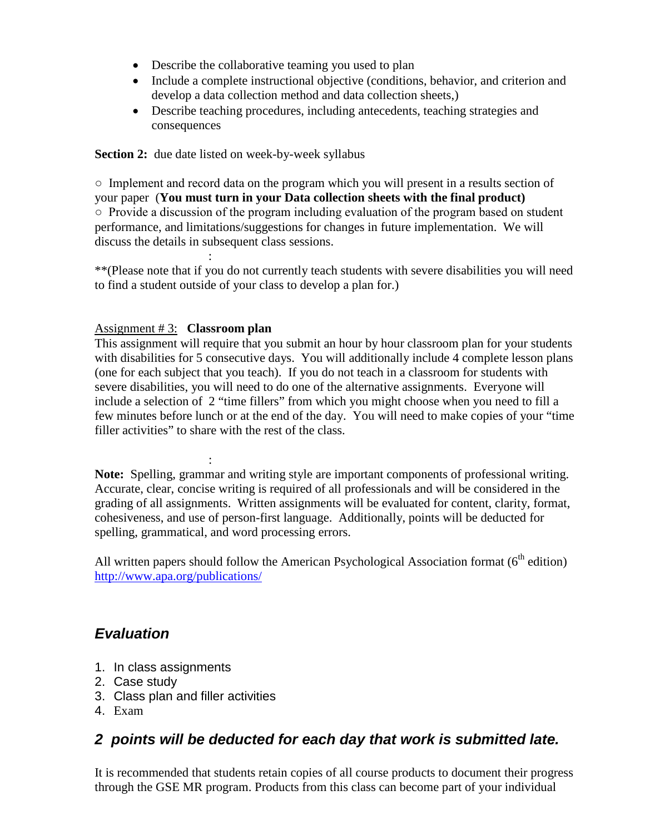- Describe the collaborative teaming you used to plan
- Include a complete instructional objective (conditions, behavior, and criterion and develop a data collection method and data collection sheets,)
- Describe teaching procedures, including antecedents, teaching strategies and consequences

**Section 2:** due date listed on week-by-week syllabus

○ Implement and record data on the program which you will present in a results section of your paper (**You must turn in your Data collection sheets with the final product)**  $\circ$  Provide a discussion of the program including evaluation of the program based on student performance, and limitations/suggestions for changes in future implementation. We will discuss the details in subsequent class sessions.

: \*\*(Please note that if you do not currently teach students with severe disabilities you will need to find a student outside of your class to develop a plan for.)

## Assignment # 3: **Classroom plan**

This assignment will require that you submit an hour by hour classroom plan for your students with disabilities for 5 consecutive days. You will additionally include 4 complete lesson plans (one for each subject that you teach). If you do not teach in a classroom for students with severe disabilities, you will need to do one of the alternative assignments. Everyone will include a selection of 2 "time fillers" from which you might choose when you need to fill a few minutes before lunch or at the end of the day. You will need to make copies of your "time filler activities" to share with the rest of the class.

: **Note:** Spelling, grammar and writing style are important components of professional writing. Accurate, clear, concise writing is required of all professionals and will be considered in the grading of all assignments. Written assignments will be evaluated for content, clarity, format, cohesiveness, and use of person-first language. Additionally, points will be deducted for spelling, grammatical, and word processing errors.

All written papers should follow the American Psychological Association format ( $6<sup>th</sup>$  edition) <http://www.apa.org/publications/>

# *Evaluation*

- 1. In class assignments
- 2. Case study
- 3. Class plan and filler activities
- 4. Exam

# *2 points will be deducted for each day that work is submitted late.*

It is recommended that students retain copies of all course products to document their progress through the GSE MR program. Products from this class can become part of your individual